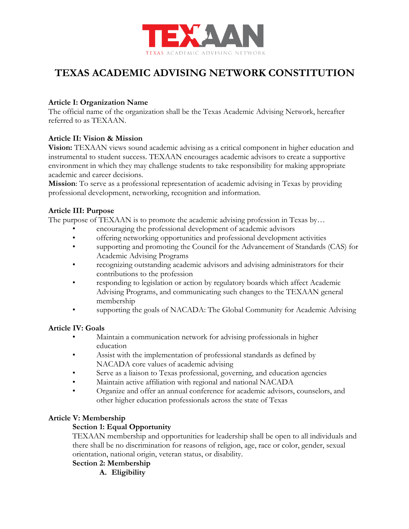

# **TEXAS ACADEMIC ADVISING NETWORK CONSTITUTION**

## **Article I: Organization Name**

The official name of the organization shall be the Texas Academic Advising Network, hereafter referred to as TEXAAN.

### **Article II: Vision & Mission**

**Vision:** TEXAAN views sound academic advising as a critical component in higher education and instrumental to student success. TEXAAN encourages academic advisors to create a supportive environment in which they may challenge students to take responsibility for making appropriate academic and career decisions.

**Mission**: To serve as a professional representation of academic advising in Texas by providing professional development, networking, recognition and information.

### **Article III: Purpose**

The purpose of TEXAAN is to promote the academic advising profession in Texas by...

- encouraging the professional development of academic advisors
- offering networking opportunities and professional development activities
- supporting and promoting the Council for the Advancement of Standards (CAS) for Academic Advising Programs
- recognizing outstanding academic advisors and advising administrators for their contributions to the profession
- responding to legislation or action by regulatory boards which affect Academic Advising Programs, and communicating such changes to the TEXAAN general membership
- supporting the goals of NACADA: The Global Community for Academic Advising

### **Article IV: Goals**

- Maintain a communication network for advising professionals in higher education
- Assist with the implementation of professional standards as defined by NACADA core values of academic advising
- Serve as a liaison to Texas professional, governing, and education agencies
- Maintain active affiliation with regional and national NACADA
- Organize and offer an annual conference for academic advisors, counselors, and other higher education professionals across the state of Texas

# **Article V: Membership**

# **Section 1: Equal Opportunity**

TEXAAN membership and opportunities for leadership shall be open to all individuals and there shall be no discrimination for reasons of religion, age, race or color, gender, sexual orientation, national origin, veteran status, or disability.

- **Section 2: Membership** 
	- **A. Eligibility**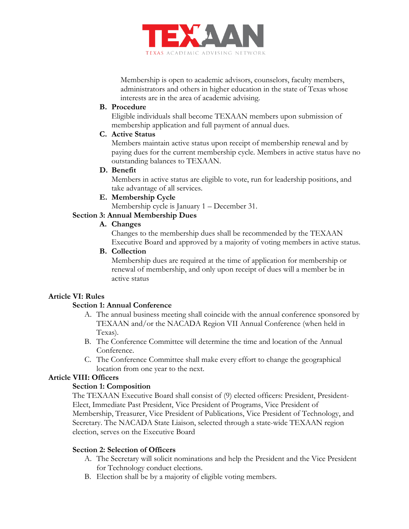

Membership is open to academic advisors, counselors, faculty members, administrators and others in higher education in the state of Texas whose interests are in the area of academic advising.

#### **B. Procedure**

Eligible individuals shall become TEXAAN members upon submission of membership application and full payment of annual dues.

## **C. Active Status**

Members maintain active status upon receipt of membership renewal and by paying dues for the current membership cycle. Members in active status have no outstanding balances to TEXAAN.

#### **D. Benefit**

Members in active status are eligible to vote, run for leadership positions, and take advantage of all services.

**E. Membership Cycle** 

Membership cycle is January 1 – December 31.

### **Section 3: Annual Membership Dues**

#### **A. Changes**

Changes to the membership dues shall be recommended by the TEXAAN Executive Board and approved by a majority of voting members in active status.

### **B. Collection**

Membership dues are required at the time of application for membership or renewal of membership, and only upon receipt of dues will a member be in active status

### **Article VI: Rules**

### **Section 1: Annual Conference**

- A. The annual business meeting shall coincide with the annual conference sponsored by TEXAAN and/or the NACADA Region VII Annual Conference (when held in Texas).
- B. The Conference Committee will determine the time and location of the Annual Conference.
- C. The Conference Committee shall make every effort to change the geographical location from one year to the next.

### **Article VIII: Officers**

### **Section 1: Composition**

The TEXAAN Executive Board shall consist of (9) elected officers: President, President-Elect, Immediate Past President, Vice President of Programs, Vice President of Membership, Treasurer, Vice President of Publications, Vice President of Technology, and Secretary. The NACADA State Liaison, selected through a state-wide TEXAAN region election, serves on the Executive Board

### **Section 2: Selection of Officers**

- A. The Secretary will solicit nominations and help the President and the Vice President for Technology conduct elections.
- B. Election shall be by a majority of eligible voting members.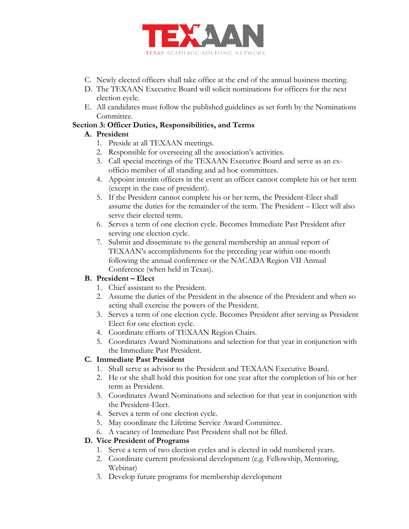

- C. Newly elected officers shall take office at the end of the annual business meeting.
- D. The TEXAAN Executive Board will solicit nominations for officers for the next election cycle.
- E. All candidates must follow the published guidelines as set forth by the Nominations Committee.

## **Section 3: Officer Duties, Responsibilities, and Terms**

# **A. President**

- 1. Preside at all TEXAAN meetings.
- 2. Responsible for overseeing all the association's activities.
- 3. Call special meetings of the TEXAAN Executive Board and serve as an exofficio member of all standing and ad hoc committees.
- 4. Appoint interim officers in the event an officer cannot complete his or her term (except in the case of president).
- 5. If the President cannot complete his or her term, the President-Elect shall assume the duties for the remainder of the term. The President – Elect will also serve their elected term.
- 6. Serves a term of one election cycle. Becomes Immediate Past President after serving one election cycle.
- 7. Submit and disseminate to the general membership an annual report of TEXAAN's accomplishments for the preceding year within one-month following the annual conference or the NACADA Region VII Annual Conference (when held in Texas).

# **B. President – Elect**

- 1. Chief assistant to the President.
- 2. Assume the duties of the President in the absence of the President and when so acting shall exercise the powers of the President.
- 3. Serves a term of one election cycle. Becomes President after serving as President Elect for one election cycle.
- 4. Coordinate efforts of TEXAAN Region Chairs.
- 5. Coordinates Award Nominations and selection for that year in conjunction with the Immediate Past President.

# **C. Immediate Past President**

- 1. Shall serve as advisor to the President and TEXAAN Executive Board.
- 2. He or she shall hold this position for one year after the completion of his or her term as President.
- 3. Coordinates Award Nominations and selection for that year in conjunction with the President-Elect.
- 4. Serves a term of one election cycle.
- 5. May coordinate the Lifetime Service Award Committee.
- 6. A vacancy of Immediate Past President shall not be filled.

# **D. Vice President of Programs**

- 1. Serve a term of two election cycles and is elected in odd numbered years.
- 2. Coordinate current professional development (e.g. Fellowship, Mentoring, Webinar)
- 3. Develop future programs for membership development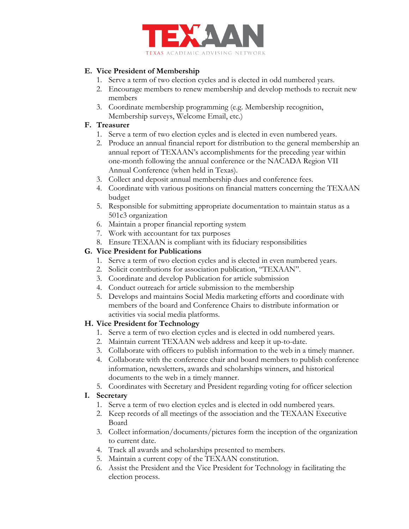

# **E. Vice President of Membership**

- 1. Serve a term of two election cycles and is elected in odd numbered years.
- 2. Encourage members to renew membership and develop methods to recruit new members
- 3. Coordinate membership programming (e.g. Membership recognition, Membership surveys, Welcome Email, etc.)

# **F. Treasurer**

- 1. Serve a term of two election cycles and is elected in even numbered years.
- 2. Produce an annual financial report for distribution to the general membership an annual report of TEXAAN's accomplishments for the preceding year within one-month following the annual conference or the NACADA Region VII Annual Conference (when held in Texas).
- 3. Collect and deposit annual membership dues and conference fees.
- 4. Coordinate with various positions on financial matters concerning the TEXAAN budget
- 5. Responsible for submitting appropriate documentation to maintain status as a 501c3 organization
- 6. Maintain a proper financial reporting system
- 7. Work with accountant for tax purposes
- 8. Ensure TEXAAN is compliant with its fiduciary responsibilities

# **G. Vice President for Publications**

- 1. Serve a term of two election cycles and is elected in even numbered years.
- 2. Solicit contributions for association publication, "TEXAAN".
- 3. Coordinate and develop Publication for article submission
- 4. Conduct outreach for article submission to the membership
- 5. Develops and maintains Social Media marketing efforts and coordinate with members of the board and Conference Chairs to distribute information or activities via social media platforms.

# **H. Vice President for Technology**

- 1. Serve a term of two election cycles and is elected in odd numbered years.
- 2. Maintain current TEXAAN web address and keep it up-to-date.
- 3. Collaborate with officers to publish information to the web in a timely manner.
- 4. Collaborate with the conference chair and board members to publish conference information, newsletters, awards and scholarships winners, and historical documents to the web in a timely manner.
- 5. Coordinates with Secretary and President regarding voting for officer selection

# **I. Secretary**

- 1. Serve a term of two election cycles and is elected in odd numbered years.
- 2. Keep records of all meetings of the association and the TEXAAN Executive Board
- 3. Collect information/documents/pictures form the inception of the organization to current date.
- 4. Track all awards and scholarships presented to members.
- 5. Maintain a current copy of the TEXAAN constitution.
- 6. Assist the President and the Vice President for Technology in facilitating the election process.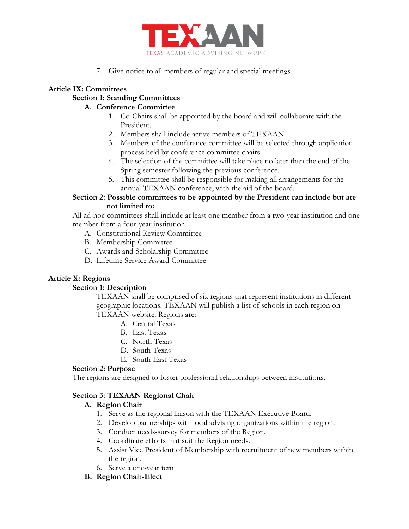

7. Give notice to all members of regular and special meetings.

# **Article IX: Committees**

# **Section 1: Standing Committees**

## **A. Conference Committee**

- 1. Co-Chairs shall be appointed by the board and will collaborate with the President.
- 2. Members shall include active members of TEXAAN.
- 3. Members of the conference committee will be selected through application process held by conference committee chairs.
- 4. The selection of the committee will take place no later than the end of the Spring semester following the previous conference.
- 5. This committee shall be responsible for making all arrangements for the annual TEXAAN conference, with the aid of the board.

### **Section 2: Possible committees to be appointed by the President can include but are not limited to:**

All ad-hoc committees shall include at least one member from a two-year institution and one member from a four-year institution.

- A. Constitutional Review Committee
- B. Membership Committee
- C. Awards and Scholarship Committee
- D. Lifetime Service Award Committee

# **Article X: Regions**

### **Section 1: Description**

TEXAAN shall be comprised of six regions that represent institutions in different geographic locations. TEXAAN will publish a list of schools in each region on TEXAAN website. Regions are:

- A. Central Texas
- B. East Texas
- C. North Texas
- D. South Texas
- E. South East Texas

### **Section 2: Purpose**

The regions are designed to foster professional relationships between institutions.

# **Section 3: TEXAAN Regional Chair**

# **A. Region Chair**

- 1. Serve as the regional liaison with the TEXAAN Executive Board.
- 2. Develop partnerships with local advising organizations within the region.
- 3. Conduct needs-survey for members of the Region.
- 4. Coordinate efforts that suit the Region needs.
- 5. Assist Vice President of Membership with recruitment of new members within the region.
- 6. Serve a one-year term
- **B. Region Chair-Elect**